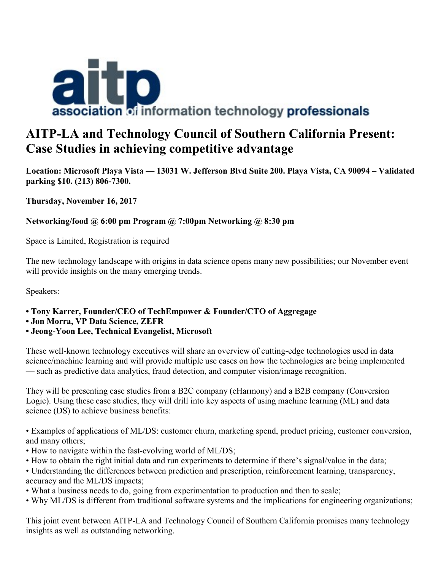

# **AITP-LA and Technology Council of Southern California Present: Case Studies in achieving competitive advantage**

**Location: Microsoft Playa Vista — 13031 W. Jefferson Blvd Suite 200. Playa Vista, CA 90094 – Validated parking \$10. (213) 806-7300.**

**Thursday, November 16, 2017**

# **Networking/food @ 6:00 pm Program @ 7:00pm Networking @ 8:30 pm**

Space is Limited, Registration is required

The new technology landscape with origins in data science opens many new possibilities; our November event will provide insights on the many emerging trends.

Speakers:

- **Tony Karrer, Founder/CEO of TechEmpower & Founder/CTO of Aggregage**
- **Jon Morra, VP Data Science, ZEFR**

#### **• Jeong-Yoon Lee, Technical Evangelist, Microsoft**

These well-known technology executives will share an overview of cutting-edge technologies used in data science/machine learning and will provide multiple use cases on how the technologies are being implemented — such as predictive data analytics, fraud detection, and computer vision/image recognition.

They will be presenting case studies from a B2C company (eHarmony) and a B2B company (Conversion Logic). Using these case studies, they will drill into key aspects of using machine learning (ML) and data science (DS) to achieve business benefits:

• Examples of applications of ML/DS: customer churn, marketing spend, product pricing, customer conversion, and many others;

- How to navigate within the fast-evolving world of ML/DS;
- How to obtain the right initial data and run experiments to determine if there's signal/value in the data;

• Understanding the differences between prediction and prescription, reinforcement learning, transparency, accuracy and the ML/DS impacts;

- What a business needs to do, going from experimentation to production and then to scale;
- Why ML/DS is different from traditional software systems and the implications for engineering organizations;

This joint event between AITP-LA and Technology Council of Southern California promises many technology insights as well as outstanding networking.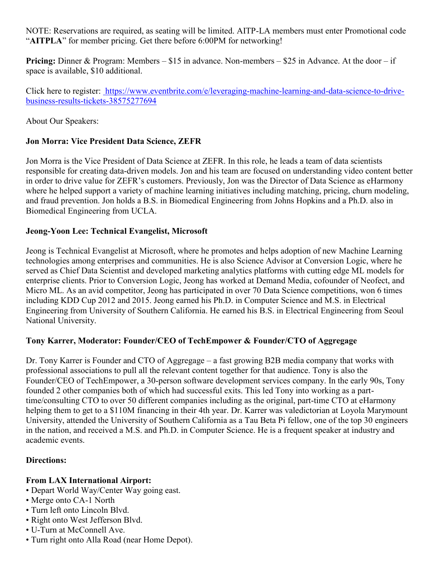NOTE: Reservations are required, as seating will be limited. AITP-LA members must enter Promotional code "**AITPLA**" for member pricing. Get there before 6:00PM for networking!

**Pricing:** Dinner & Program: Members – \$15 in advance. Non-members – \$25 in Advance. At the door – if space is available, \$10 additional.

Click here to register: [https://www.eventbrite.com/e/leveraging-machine-learning-and-data-science-to-drive](https://www.eventbrite.com/e/leveraging-machine-learning-and-data-science-to-drive-business-results-tickets-38575277694)[business-results-tickets-38575277694](https://www.eventbrite.com/e/leveraging-machine-learning-and-data-science-to-drive-business-results-tickets-38575277694)

About Our Speakers:

# **Jon Morra: Vice President Data Science, ZEFR**

Jon Morra is the Vice President of Data Science at ZEFR. In this role, he leads a team of data scientists responsible for creating data-driven models. Jon and his team are focused on understanding video content better in order to drive value for ZEFR's customers. Previously, Jon was the Director of Data Science as eHarmony where he helped support a variety of machine learning initiatives including matching, pricing, churn modeling, and fraud prevention. Jon holds a B.S. in Biomedical Engineering from Johns Hopkins and a Ph.D. also in Biomedical Engineering from UCLA.

## **Jeong-Yoon Lee: Technical Evangelist, Microsoft**

Jeong is Technical Evangelist at Microsoft, where he promotes and helps adoption of new Machine Learning technologies among enterprises and communities. He is also Science Advisor at Conversion Logic, where he served as Chief Data Scientist and developed marketing analytics platforms with cutting edge ML models for enterprise clients. Prior to Conversion Logic, Jeong has worked at Demand Media, cofounder of Neofect, and Micro ML. As an avid competitor, Jeong has participated in over 70 Data Science competitions, won 6 times including KDD Cup 2012 and 2015. Jeong earned his Ph.D. in Computer Science and M.S. in Electrical Engineering from University of Southern California. He earned his B.S. in Electrical Engineering from Seoul National University.

#### **Tony Karrer, Moderator: Founder/CEO of TechEmpower & Founder/CTO of Aggregage**

Dr. Tony Karrer is Founder and CTO of Aggregage – a fast growing B2B media company that works with professional associations to pull all the relevant content together for that audience. Tony is also the Founder/CEO of TechEmpower, a 30-person software development services company. In the early 90s, Tony founded 2 other companies both of which had successful exits. This led Tony into working as a parttime/consulting CTO to over 50 different companies including as the original, part-time CTO at eHarmony helping them to get to a \$110M financing in their 4th year. Dr. Karrer was valedictorian at Loyola Marymount University, attended the University of Southern California as a Tau Beta Pi fellow, one of the top 30 engineers in the nation, and received a M.S. and Ph.D. in Computer Science. He is a frequent speaker at industry and academic events.

#### **Directions:**

#### **From LAX International Airport:**

- Depart World Way/Center Way going east.
- Merge onto CA-1 North
- Turn left onto Lincoln Blvd.
- Right onto West Jefferson Blvd.
- U-Turn at McConnell Ave.
- Turn right onto Alla Road (near Home Depot).